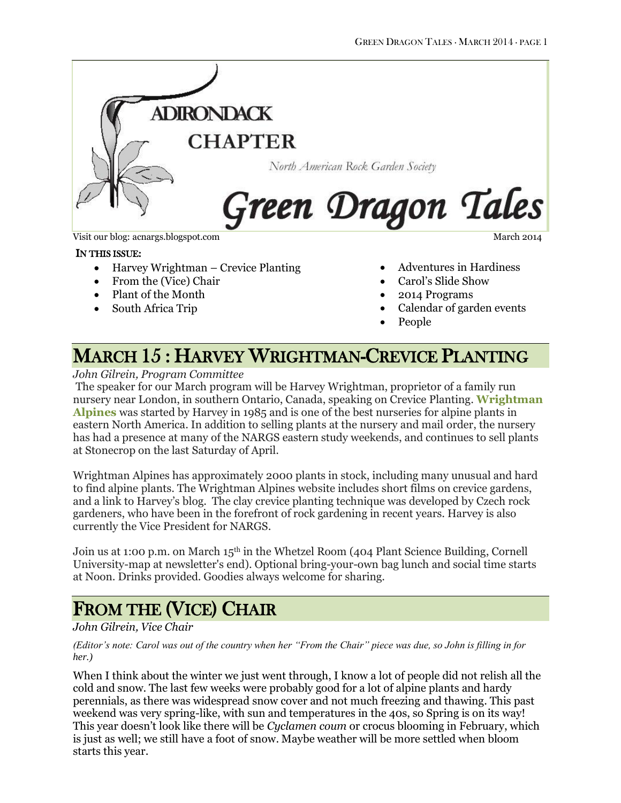

Visit our blog: acnargs.blogspot.com March 2014

#### IN THIS ISSUE:

- Harvey Wrightman Crevice Planting
- From the (Vice) Chair
- Plant of the Month
- South Africa Trip

Adventures in Hardiness

- Carol's Slide Show
- 2014 Programs
- Calendar of garden events
- People

## MARCH 15 : HARVEY WRIGHTMAN-CREVICE PLANTING

### *John Gilrein, Program Committee*

The speaker for our March program will be Harvey Wrightman, proprietor of a family run nursery near London, in southern Ontario, Canada, speaking on Crevice Planting. **[Wrightman](http://www.wrightmanalpines.com/)  [Alpines](http://www.wrightmanalpines.com/)** was started by Harvey in 1985 and is one of the best nurseries for alpine plants in eastern North America. In addition to selling plants at the nursery and mail order, the nursery has had a presence at many of the NARGS eastern study weekends, and continues to sell plants at Stonecrop on the last Saturday of April.

Wrightman Alpines has approximately 2000 plants in stock, including many unusual and hard to find alpine plants. The Wrightman Alpines website includes short films on crevice gardens, and a link to Harvey's blog. The clay crevice planting technique was developed by Czech rock gardeners, who have been in the forefront of rock gardening in recent years. Harvey is also currently the Vice President for NARGS.

Join us at 1:00 p.m. on March 15<sup>th</sup> in the Whetzel Room (404 Plant Science Building, Cornell University-map at newsletter's end). Optional bring-your-own bag lunch and social time starts at Noon. Drinks provided. Goodies always welcome for sharing.

# FROM THE (VICE) CHAIR

### *John Gilrein, Vice Chair*

*(Editor's note: Carol was out of the country when her "From the Chair" piece was due, so John is filling in for her.)*

When I think about the winter we just went through, I know a lot of people did not relish all the cold and snow. The last few weeks were probably good for a lot of alpine plants and hardy perennials, as there was widespread snow cover and not much freezing and thawing. This past weekend was very spring-like, with sun and temperatures in the 40s, so Spring is on its way! This year doesn't look like there will be *Cyclamen coum* or crocus blooming in February, which is just as well; we still have a foot of snow. Maybe weather will be more settled when bloom starts this year.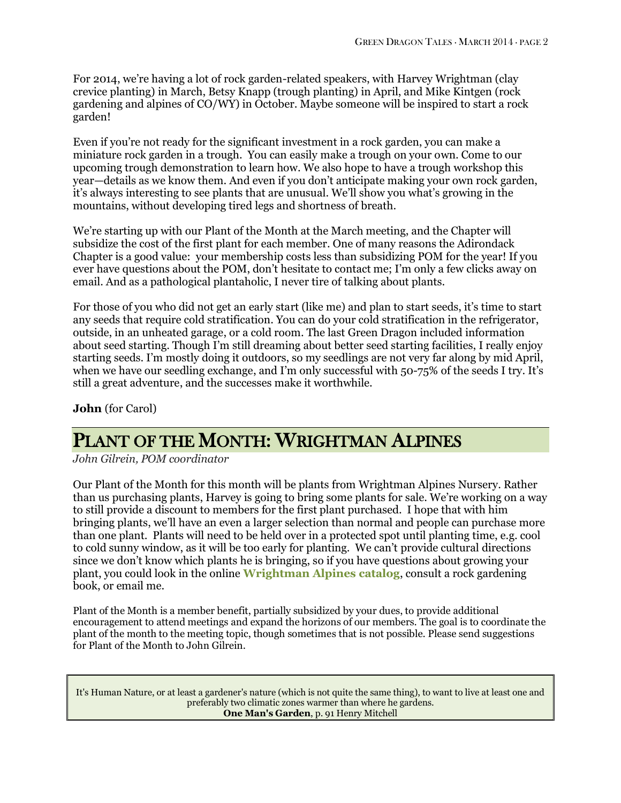For 2014, we're having a lot of rock garden-related speakers, with Harvey Wrightman (clay crevice planting) in March, Betsy Knapp (trough planting) in April, and Mike Kintgen (rock gardening and alpines of CO/WY) in October. Maybe someone will be inspired to start a rock garden!

Even if you're not ready for the significant investment in a rock garden, you can make a miniature rock garden in a trough. You can easily make a trough on your own. Come to our upcoming trough demonstration to learn how. We also hope to have a trough workshop this year—details as we know them. And even if you don't anticipate making your own rock garden, it's always interesting to see plants that are unusual. We'll show you what's growing in the mountains, without developing tired legs and shortness of breath.

We're starting up with our Plant of the Month at the March meeting, and the Chapter will subsidize the cost of the first plant for each member. One of many reasons the Adirondack Chapter is a good value: your membership costs less than subsidizing POM for the year! If you ever have questions about the POM, don't hesitate to contact me; I'm only a few clicks away on email. And as a pathological plantaholic, I never tire of talking about plants.

For those of you who did not get an early start (like me) and plan to start seeds, it's time to start any seeds that require cold stratification. You can do your cold stratification in the refrigerator, outside, in an unheated garage, or a cold room. The last Green Dragon included information about seed starting. Though I'm still dreaming about better seed starting facilities, I really enjoy starting seeds. I'm mostly doing it outdoors, so my seedlings are not very far along by mid April, when we have our seedling exchange, and I'm only successful with 50-75% of the seeds I try. It's still a great adventure, and the successes make it worthwhile.

**John** (for Carol)

# PLANT OF THE MONTH: WRIGHTMAN ALPINES

*John Gilrein, POM coordinator*

Our Plant of the Month for this month will be plants from Wrightman Alpines Nursery. Rather than us purchasing plants, Harvey is going to bring some plants for sale. We're working on a way to still provide a discount to members for the first plant purchased. I hope that with him bringing plants, we'll have an even a larger selection than normal and people can purchase more than one plant. Plants will need to be held over in a protected spot until planting time, e.g. cool to cold sunny window, as it will be too early for planting. We can't provide cultural directions since we don't know which plants he is bringing, so if you have questions about growing your plant, you could look in the online **[Wrightman Alpines catalog](http://www.wrightmanalpines.com/)**, consult a rock gardening book, or email me.

Plant of the Month is a member benefit, partially subsidized by your dues, to provide additional encouragement to attend meetings and expand the horizons of our members. The goal is to coordinate the plant of the month to the meeting topic, though sometimes that is not possible. Please send suggestions for Plant of the Month to John Gilrein.

It's Human Nature, or at least a gardener's nature (which is not quite the same thing), to want to live at least one and preferably two climatic zones warmer than where he gardens. **One Man's Garden**, p. 91 Henry Mitchell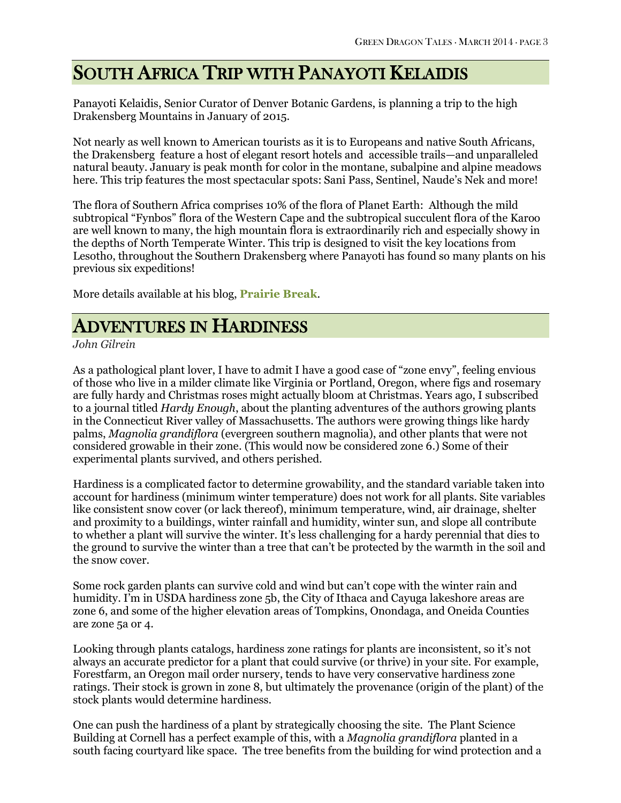## SOUTH AFRICA TRIP WITH PANAYOTI KELAIDIS

Panayoti Kelaidis, Senior Curator of Denver Botanic Gardens, is planning a trip to the high Drakensberg Mountains in January of 2015.

Not nearly as well known to American tourists as it is to Europeans and native South Africans, the Drakensberg feature a host of elegant resort hotels and accessible trails—and unparalleled natural beauty. January is peak month for color in the montane, subalpine and alpine meadows here. This trip features the most spectacular spots: Sani Pass, Sentinel, Naude's Nek and more!

The flora of Southern Africa comprises 10% of the flora of Planet Earth: Although the mild subtropical "Fynbos" flora of the Western Cape and the subtropical succulent flora of the Karoo are well known to many, the high mountain flora is extraordinarily rich and especially showy in the depths of North Temperate Winter. This trip is designed to visit the key locations from Lesotho, throughout the Southern Drakensberg where Panayoti has found so many plants on his previous six expeditions!

More details available at his blog, **[Prairie Break](http://prairiebreak.blogspot.com/2014/02/sign-up-for-south-africa-in-january-2015.html)**.

## ADVENTURES IN HARDINESS

*John Gilrein*

As a pathological plant lover, I have to admit I have a good case of "zone envy", feeling envious of those who live in a milder climate like Virginia or Portland, Oregon, where figs and rosemary are fully hardy and Christmas roses might actually bloom at Christmas. Years ago, I subscribed to a journal titled *Hardy Enough*, about the planting adventures of the authors growing plants in the Connecticut River valley of Massachusetts. The authors were growing things like hardy palms, *Magnolia grandiflora* (evergreen southern magnolia), and other plants that were not considered growable in their zone. (This would now be considered zone 6.) Some of their experimental plants survived, and others perished.

Hardiness is a complicated factor to determine growability, and the standard variable taken into account for hardiness (minimum winter temperature) does not work for all plants. Site variables like consistent snow cover (or lack thereof), minimum temperature, wind, air drainage, shelter and proximity to a buildings, winter rainfall and humidity, winter sun, and slope all contribute to whether a plant will survive the winter. It's less challenging for a hardy perennial that dies to the ground to survive the winter than a tree that can't be protected by the warmth in the soil and the snow cover.

Some rock garden plants can survive cold and wind but can't cope with the winter rain and humidity. I'm in USDA hardiness zone 5b, the City of Ithaca and Cayuga lakeshore areas are zone 6, and some of the higher elevation areas of Tompkins, Onondaga, and Oneida Counties are zone 5a or 4.

Looking through plants catalogs, hardiness zone ratings for plants are inconsistent, so it's not always an accurate predictor for a plant that could survive (or thrive) in your site. For example, Forestfarm, an Oregon mail order nursery, tends to have very conservative hardiness zone ratings. Their stock is grown in zone 8, but ultimately the provenance (origin of the plant) of the stock plants would determine hardiness.

One can push the hardiness of a plant by strategically choosing the site. The Plant Science Building at Cornell has a perfect example of this, with a *Magnolia grandiflora* planted in a south facing courtyard like space. The tree benefits from the building for wind protection and a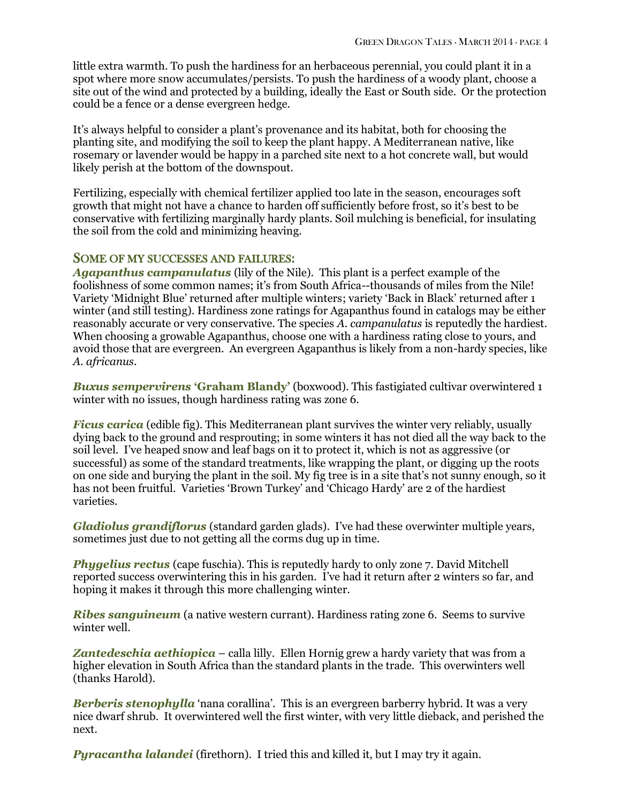little extra warmth. To push the hardiness for an herbaceous perennial, you could plant it in a spot where more snow accumulates/persists. To push the hardiness of a woody plant, choose a site out of the wind and protected by a building, ideally the East or South side. Or the protection could be a fence or a dense evergreen hedge.

It's always helpful to consider a plant's provenance and its habitat, both for choosing the planting site, and modifying the soil to keep the plant happy. A Mediterranean native, like rosemary or lavender would be happy in a parched site next to a hot concrete wall, but would likely perish at the bottom of the downspout.

Fertilizing, especially with chemical fertilizer applied too late in the season, encourages soft growth that might not have a chance to harden off sufficiently before frost, so it's best to be conservative with fertilizing marginally hardy plants. Soil mulching is beneficial, for insulating the soil from the cold and minimizing heaving.

### SOME OF MY SUCCESSES AND FAILURES:

*Agapanthus campanulatus* (lily of the Nile). This plant is a perfect example of the foolishness of some common names; it's from South Africa--thousands of miles from the Nile! Variety 'Midnight Blue' returned after multiple winters; variety 'Back in Black' returned after 1 winter (and still testing). Hardiness zone ratings for Agapanthus found in catalogs may be either reasonably accurate or very conservative. The species *A. campanulatus* is reputedly the hardiest. When choosing a growable Agapanthus, choose one with a hardiness rating close to yours, and avoid those that are evergreen. An evergreen Agapanthus is likely from a non-hardy species, like *A. africanus*.

*Buxus sempervirens* **'Graham Blandy'** (boxwood). This fastigiated cultivar overwintered 1 winter with no issues, though hardiness rating was zone 6.

*Ficus carica* (edible fig). This Mediterranean plant survives the winter very reliably, usually dying back to the ground and resprouting; in some winters it has not died all the way back to the soil level. I've heaped snow and leaf bags on it to protect it, which is not as aggressive (or successful) as some of the standard treatments, like wrapping the plant, or digging up the roots on one side and burying the plant in the soil. My fig tree is in a site that's not sunny enough, so it has not been fruitful. Varieties 'Brown Turkey' and 'Chicago Hardy' are 2 of the hardiest varieties.

*Gladiolus grandiflorus* (standard garden glads). I've had these overwinter multiple years, sometimes just due to not getting all the corms dug up in time.

*Phygelius rectus* (cape fuschia). This is reputedly hardy to only zone 7. David Mitchell reported success overwintering this in his garden. I've had it return after 2 winters so far, and hoping it makes it through this more challenging winter.

*Ribes sanguineum* (a native western currant). Hardiness rating zone 6. Seems to survive winter well.

*Zantedeschia aethiopica* – calla lilly. Ellen Hornig grew a hardy variety that was from a higher elevation in South Africa than the standard plants in the trade. This overwinters well (thanks Harold).

*Berberis stenophylla* 'nana corallina'. This is an evergreen barberry hybrid. It was a very nice dwarf shrub. It overwintered well the first winter, with very little dieback, and perished the next.

*Pyracantha lalandei* (firethorn). I tried this and killed it, but I may try it again.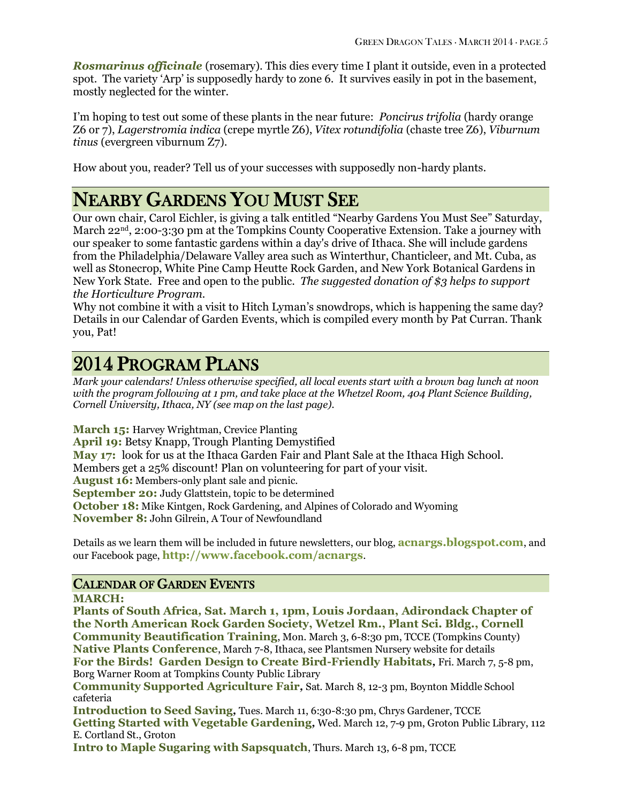*Rosmarinus officinale* (rosemary). This dies every time I plant it outside, even in a protected spot. The variety 'Arp' is supposedly hardy to zone 6. It survives easily in pot in the basement, mostly neglected for the winter.

I'm hoping to test out some of these plants in the near future: *Poncirus trifolia* (hardy orange Z6 or 7), *Lagerstromia indica* (crepe myrtle Z6), *Vitex rotundifolia* (chaste tree Z6), *Viburnum tinus* (evergreen viburnum Z7).

How about you, reader? Tell us of your successes with supposedly non-hardy plants.

# NEARBY GARDENS YOU MUST SEE

Our own chair, Carol Eichler, is giving a talk entitled "Nearby Gardens You Must See" Saturday, March 22<sup>nd</sup>, 2:00-3:30 pm at the Tompkins County Cooperative Extension. Take a journey with our speaker to some fantastic gardens within a day's drive of Ithaca. She will include gardens from the Philadelphia/Delaware Valley area such as Winterthur, Chanticleer, and Mt. Cuba, as well as Stonecrop, White Pine Camp Heutte Rock Garden, and New York Botanical Gardens in New York State. Free and open to the public. *The suggested donation of \$3 helps to support the Horticulture Program.*

Why not combine it with a visit to Hitch Lyman's snowdrops, which is happening the same day? Details in our Calendar of Garden Events, which is compiled every month by Pat Curran. Thank you, Pat!

# 2014 PROGRAM PLANS

*Mark your calendars! Unless otherwise specified, all local events start with a brown bag lunch at noon with the program following at 1 pm, and take place at the Whetzel Room, 404 Plant Science Building, Cornell University, Ithaca, NY (see map on the last page).*

**March 15:** Harvey Wrightman, Crevice Planting **April 19:** Betsy Knapp, Trough Planting Demystified **May 17:** look for us at the Ithaca Garden Fair and Plant Sale at the Ithaca High School. Members get a 25% discount! Plan on volunteering for part of your visit. **August 16:** Members-only plant sale and picnic. **September 20:** Judy Glattstein, topic to be determined **October 18:** Mike Kintgen, Rock Gardening, and Alpines of Colorado and Wyoming **November 8:** John Gilrein, A Tour of Newfoundland

Details as we learn them will be included in future newsletters, our blog, **[acnargs.blogspot.com](http://acnargs.blogspot.com/)**, and our Facebook page, **[http://www.facebook.com/acnargs](http://acnargs.blogspot.com/)**.

## CALENDAR OF GARDEN EVENTS

**MARCH:**

**Plants of South Africa***,* **Sat. March 1, 1pm, Louis Jordaan, Adirondack Chapter of the North American Rock Garden Society, Wetzel Rm., Plant Sci. Bldg., Cornell Community Beautification Training**, Mon. March 3, 6-8:30 pm, TCCE (Tompkins County) **Native Plants Conference**, March 7-8, Ithaca, see Plantsmen Nursery website for details **For the Birds! Garden Design to Create Bird-Friendly Habitats***,* Fri. March 7, 5-8 pm, Borg Warner Room at Tompkins County Public Library

**Community Supported Agriculture Fair***,* Sat. March 8, 12-3 pm, Boynton Middle School cafeteria

**Introduction to Seed Saving***,* Tues. March 11, 6:30-8:30 pm, Chrys Gardener, TCCE **Getting Started with Vegetable Gardening***,* Wed. March 12, 7-9 pm, Groton Public Library, 112 E. Cortland St., Groton

**Intro to Maple Sugaring with Sapsquatch**, Thurs. March 13, 6-8 pm, TCCE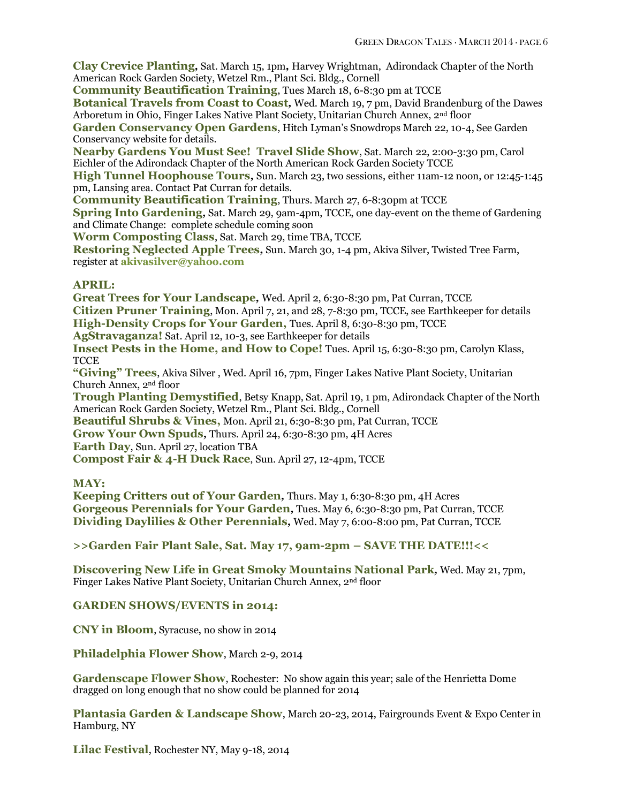**Clay Crevice Planting***,* Sat. March 15, 1pm*,* Harvey Wrightman, Adirondack Chapter of the North American Rock Garden Society, Wetzel Rm., Plant Sci. Bldg., Cornell

**Community Beautification Training**, Tues March 18, 6-8:30 pm at TCCE

**Botanical Travels from Coast to Coast***,* Wed. March 19, 7 pm, David Brandenburg of the Dawes Arboretum in Ohio, Finger Lakes Native Plant Society, Unitarian Church Annex, 2nd floor

**Garden Conservancy Open Gardens**, Hitch Lyman's Snowdrops March 22, 10-4, See Garden Conservancy website for details.

**Nearby Gardens You Must See! Travel Slide Show**, Sat. March 22, 2:00-3:30 pm, Carol Eichler of the Adirondack Chapter of the North American Rock Garden Society TCCE

**High Tunnel Hoophouse Tours***,* Sun. March 23, two sessions, either 11am-12 noon, or 12:45-1:45 pm, Lansing area. Contact Pat Curran for details.

**Community Beautification Training, Thurs. March 27, 6-8:30pm at TCCE** 

**Spring Into Gardening***,* Sat. March 29, 9am-4pm, TCCE, one day-event on the theme of Gardening and Climate Change: complete schedule coming soon

**Worm Composting Class**, Sat. March 29, time TBA, TCCE

**Restoring Neglected Apple Trees***,* Sun. March 30, 1-4 pm, Akiva Silver, Twisted Tree Farm, register at **[akivasilver@yahoo.com](mailto:akivasilver@yahoo.com)**

### **APRIL:**

**Great Trees for Your Landscape***,* Wed. April 2, 6:30-8:30 pm, Pat Curran, TCCE **Citizen Pruner Training**, Mon. April 7, 21, and 28, 7-8:30 pm, TCCE, see Earthkeeper for details **High-Density Crops for Your Garden,** Tues. April 8, 6:30-8:30 pm, TCCE

**AgStravaganza!** Sat. April 12, 10-3, see Earthkeeper for details

**Insect Pests in the Home, and How to Cope!** Tues. April 15, 6:30-8:30 pm, Carolyn Klass, **TCCE** 

**"Giving" Trees**, Akiva Silver , Wed. April 16, 7pm, Finger Lakes Native Plant Society, Unitarian Church Annex, 2nd floor

**Trough Planting Demystified**, Betsy Knapp, Sat. April 19, 1 pm, Adirondack Chapter of the North American Rock Garden Society, Wetzel Rm., Plant Sci. Bldg., Cornell

**Beautiful Shrubs & Vines,** Mon. April 21, 6:30-8:30 pm, Pat Curran, TCCE

**Grow Your Own Spuds***,* Thurs. April 24, 6:30-8:30 pm, 4H Acres

**Earth Day**, Sun. April 27, location TBA

**Compost Fair & 4-H Duck Race**, Sun. April 27, 12-4pm, TCCE

### **MAY:**

**Keeping Critters out of Your Garden***,* Thurs. May 1, 6:30-8:30 pm, 4H Acres **Gorgeous Perennials for Your Garden***,* Tues. May 6, 6:30-8:30 pm, Pat Curran, TCCE **Dividing Daylilies & Other Perennials***,* Wed. May 7, 6:00-8:00 pm, Pat Curran, TCCE

**>>Garden Fair Plant Sale, Sat. May 17, 9am-2pm – SAVE THE DATE!!!<<**

**Discovering New Life in Great Smoky Mountains National Park***,* Wed. May 21, 7pm, Finger Lakes Native Plant Society, Unitarian Church Annex, 2nd floor

### **GARDEN SHOWS/EVENTS in 2014:**

**CNY in Bloom**, Syracuse, no show in 2014

**Philadelphia Flower Show**, March 2-9, 2014

Gardenscape Flower Show, Rochester: No show again this year; sale of the Henrietta Dome dragged on long enough that no show could be planned for 2014

**Plantasia Garden & Landscape Show**, March 20-23, 2014, Fairgrounds Event & Expo Center in Hamburg, NY

**Lilac Festival**, Rochester NY, May 9-18, 2014